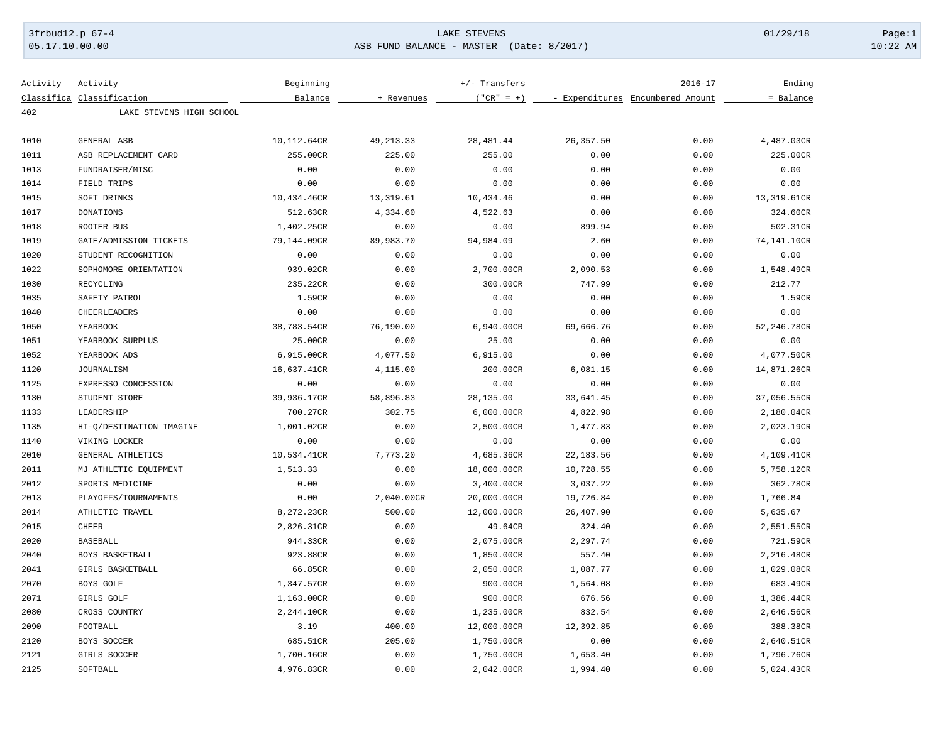## 3frbud12.p 67-4 LAKE STEVENS 01/29/18 Page:1 05.17.10.00.00 ASB FUND BALANCE - MASTER (Date: 8/2017) 10:22 AM

| Activity | Activity                  | Beginning   |             | $+/-$ Transfers |            | $2016 - 17$                      | Ending      |
|----------|---------------------------|-------------|-------------|-----------------|------------|----------------------------------|-------------|
|          | Classifica Classification | Balance     | + Revenues  | $("CR" = +)$    |            | - Expenditures Encumbered Amount | = Balance   |
| 402      | LAKE STEVENS HIGH SCHOOL  |             |             |                 |            |                                  |             |
| 1010     | GENERAL ASB               | 10,112.64CR | 49, 213. 33 | 28, 481.44      | 26, 357.50 | 0.00                             | 4,487.03CR  |
| 1011     | ASB REPLACEMENT CARD      | 255.00CR    | 225.00      | 255.00          | 0.00       | 0.00                             | 225.00CR    |
| 1013     | FUNDRAISER/MISC           | 0.00        | 0.00        | 0.00            | 0.00       | 0.00                             | 0.00        |
| 1014     | FIELD TRIPS               | 0.00        | 0.00        | 0.00            | 0.00       | 0.00                             | 0.00        |
| 1015     | SOFT DRINKS               | 10,434.46CR | 13, 319.61  | 10,434.46       | 0.00       | 0.00                             | 13,319.61CR |
| 1017     | <b>DONATIONS</b>          | 512.63CR    | 4,334.60    | 4,522.63        | 0.00       | 0.00                             | 324.60CR    |
| 1018     | ROOTER BUS                | 1,402.25CR  | 0.00        | 0.00            | 899.94     | 0.00                             | 502.31CR    |
| 1019     | GATE/ADMISSION TICKETS    | 79,144.09CR | 89,983.70   | 94,984.09       | 2.60       | 0.00                             | 74,141.10CR |
| 1020     | STUDENT RECOGNITION       | 0.00        | 0.00        | 0.00            | 0.00       | 0.00                             | 0.00        |
| 1022     | SOPHOMORE ORIENTATION     | 939.02CR    | 0.00        | 2,700.00CR      | 2,090.53   | 0.00                             | 1,548.49CR  |
| 1030     | RECYCLING                 | 235.22CR    | 0.00        | 300.00CR        | 747.99     | 0.00                             | 212.77      |
| 1035     | SAFETY PATROL             | 1.59CR      | 0.00        | 0.00            | 0.00       | 0.00                             | 1.59CR      |
| 1040     | CHEERLEADERS              | 0.00        | 0.00        | 0.00            | 0.00       | 0.00                             | 0.00        |
| 1050     | YEARBOOK                  | 38,783.54CR | 76,190.00   | 6,940.00CR      | 69,666.76  | 0.00                             | 52,246.78CR |
| 1051     | YEARBOOK SURPLUS          | 25.00CR     | 0.00        | 25.00           | 0.00       | 0.00                             | 0.00        |
| 1052     | YEARBOOK ADS              | 6,915.00CR  | 4,077.50    | 6,915.00        | 0.00       | 0.00                             | 4,077.50CR  |
| 1120     | <b>JOURNALISM</b>         | 16,637.41CR | 4,115.00    | 200.00CR        | 6,081.15   | 0.00                             | 14,871.26CR |
| 1125     | EXPRESSO CONCESSION       | 0.00        | 0.00        | 0.00            | 0.00       | 0.00                             | 0.00        |
| 1130     | STUDENT STORE             | 39,936.17CR | 58,896.83   | 28,135.00       | 33,641.45  | 0.00                             | 37,056.55CR |
| 1133     | LEADERSHIP                | 700.27CR    | 302.75      | 6,000.00CR      | 4,822.98   | 0.00                             | 2,180.04CR  |
| 1135     | HI-Q/DESTINATION IMAGINE  | 1,001.02CR  | 0.00        | 2,500.00CR      | 1,477.83   | 0.00                             | 2,023.19CR  |
| 1140     | VIKING LOCKER             | 0.00        | 0.00        | 0.00            | 0.00       | 0.00                             | 0.00        |
| 2010     | GENERAL ATHLETICS         | 10,534.41CR | 7,773.20    | 4,685.36CR      | 22, 183.56 | 0.00                             | 4,109.41CR  |
| 2011     | MJ ATHLETIC EQUIPMENT     | 1,513.33    | 0.00        | 18,000.00CR     | 10,728.55  | 0.00                             | 5,758.12CR  |
| 2012     | SPORTS MEDICINE           | 0.00        | 0.00        | 3,400.00CR      | 3,037.22   | 0.00                             | 362.78CR    |
| 2013     | PLAYOFFS/TOURNAMENTS      | 0.00        | 2,040.00CR  | 20,000.00CR     | 19,726.84  | 0.00                             | 1,766.84    |
| 2014     | ATHLETIC TRAVEL           | 8,272.23CR  | 500.00      | 12,000.00CR     | 26,407.90  | 0.00                             | 5,635.67    |
| 2015     | <b>CHEER</b>              | 2,826.31CR  | 0.00        | 49.64CR         | 324.40     | 0.00                             | 2,551.55CR  |
| 2020     | <b>BASEBALL</b>           | 944.33CR    | 0.00        | 2,075.00CR      | 2,297.74   | 0.00                             | 721.59CR    |
| 2040     | BOYS BASKETBALL           | 923.88CR    | 0.00        | 1,850.00CR      | 557.40     | 0.00                             | 2,216.48CR  |
| 2041     | GIRLS BASKETBALL          | 66.85CR     | 0.00        | 2,050.00CR      | 1,087.77   | 0.00                             | 1,029.08CR  |
| 2070     | BOYS GOLF                 | 1,347.57CR  | 0.00        | 900.00CR        | 1,564.08   | 0.00                             | 683.49CR    |
| 2071     | GIRLS GOLF                | 1,163.00CR  | 0.00        | 900.00CR        | 676.56     | 0.00                             | 1,386.44CR  |
| 2080     | CROSS COUNTRY             | 2,244.10CR  | 0.00        | 1,235.00CR      | 832.54     | 0.00                             | 2,646.56CR  |
| 2090     | FOOTBALL                  | 3.19        | 400.00      | 12,000.00CR     | 12,392.85  | 0.00                             | 388.38CR    |
| 2120     | BOYS SOCCER               | 685.51CR    | 205.00      | 1,750.00CR      | 0.00       | 0.00                             | 2,640.51CR  |
| 2121     | GIRLS SOCCER              | 1,700.16CR  | 0.00        | 1,750.00CR      | 1,653.40   | 0.00                             | 1,796.76CR  |
| 2125     | SOFTBALL                  | 4,976.83CR  | 0.00        | 2,042.00CR      | 1,994.40   | 0.00                             | 5,024.43CR  |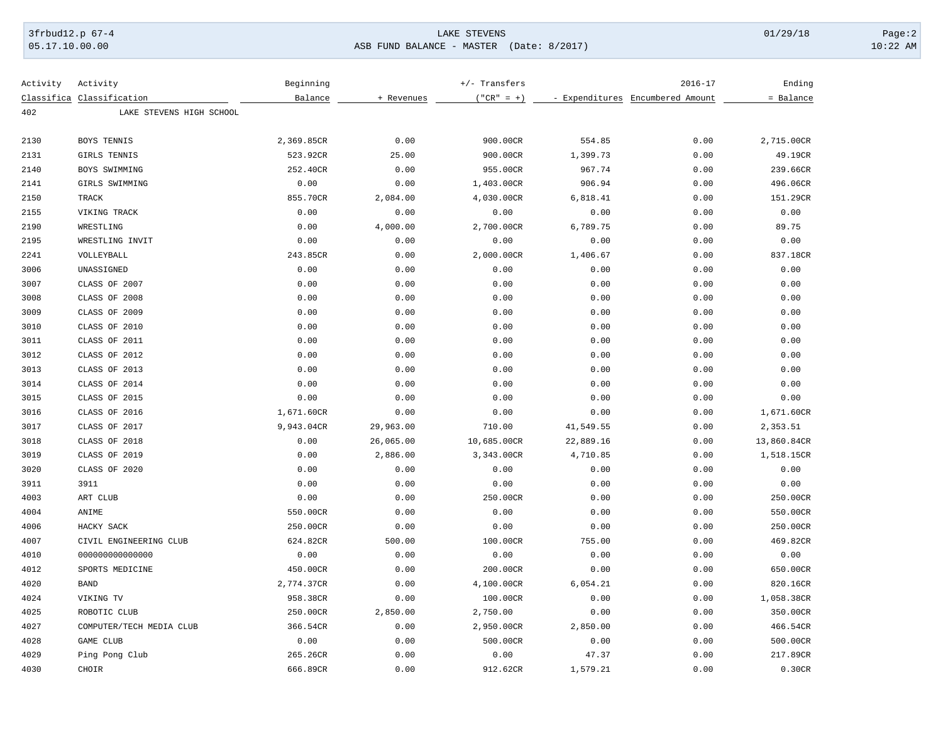## 3frbud12.p 67-4 LAKE STEVENS 01/29/18 Page:2 05.17.10.00.00 ASB FUND BALANCE - MASTER (Date: 8/2017) 10:22 AM

| Activity | Activity                  | Beginning  |            | $+/-$ Transfers |           | $2016 - 17$                      | Ending      |
|----------|---------------------------|------------|------------|-----------------|-----------|----------------------------------|-------------|
|          | Classifica Classification | Balance    | + Revenues | $("CR" = +)$    |           | - Expenditures Encumbered Amount | = Balance   |
| 402      | LAKE STEVENS HIGH SCHOOL  |            |            |                 |           |                                  |             |
|          |                           |            |            |                 |           |                                  |             |
| 2130     | BOYS TENNIS               | 2,369.85CR | 0.00       | 900.00CR        | 554.85    | 0.00                             | 2,715.00CR  |
| 2131     | GIRLS TENNIS              | 523.92CR   | 25.00      | 900.00CR        | 1,399.73  | 0.00                             | 49.19CR     |
| 2140     | BOYS SWIMMING             | 252.40CR   | 0.00       | 955.00CR        | 967.74    | 0.00                             | 239.66CR    |
| 2141     | GIRLS SWIMMING            | 0.00       | 0.00       | 1,403.00CR      | 906.94    | 0.00                             | 496.06CR    |
| 2150     | TRACK                     | 855.70CR   | 2,084.00   | 4,030.00CR      | 6,818.41  | 0.00                             | 151.29CR    |
| 2155     | VIKING TRACK              | 0.00       | 0.00       | 0.00            | 0.00      | 0.00                             | 0.00        |
| 2190     | WRESTLING                 | 0.00       | 4,000.00   | 2,700.00CR      | 6,789.75  | 0.00                             | 89.75       |
| 2195     | WRESTLING INVIT           | 0.00       | 0.00       | 0.00            | 0.00      | 0.00                             | 0.00        |
| 2241     | VOLLEYBALL                | 243.85CR   | 0.00       | 2,000.00CR      | 1,406.67  | 0.00                             | 837.18CR    |
| 3006     | UNASSIGNED                | 0.00       | 0.00       | 0.00            | 0.00      | 0.00                             | 0.00        |
| 3007     | CLASS OF 2007             | 0.00       | 0.00       | 0.00            | 0.00      | 0.00                             | 0.00        |
| 3008     | CLASS OF 2008             | 0.00       | 0.00       | 0.00            | 0.00      | 0.00                             | 0.00        |
| 3009     | CLASS OF 2009             | 0.00       | 0.00       | 0.00            | 0.00      | 0.00                             | 0.00        |
| 3010     | CLASS OF 2010             | 0.00       | 0.00       | 0.00            | 0.00      | 0.00                             | 0.00        |
| 3011     | CLASS OF 2011             | 0.00       | 0.00       | 0.00            | 0.00      | 0.00                             | 0.00        |
| 3012     | CLASS OF 2012             | 0.00       | 0.00       | 0.00            | 0.00      | 0.00                             | 0.00        |
| 3013     | CLASS OF 2013             | 0.00       | 0.00       | 0.00            | 0.00      | 0.00                             | 0.00        |
| 3014     | CLASS OF 2014             | 0.00       | 0.00       | 0.00            | 0.00      | 0.00                             | 0.00        |
| 3015     | CLASS OF 2015             | 0.00       | 0.00       | 0.00            | 0.00      | 0.00                             | 0.00        |
| 3016     | CLASS OF 2016             | 1,671.60CR | 0.00       | 0.00            | 0.00      | 0.00                             | 1,671.60CR  |
| 3017     | CLASS OF 2017             | 9,943.04CR | 29,963.00  | 710.00          | 41,549.55 | 0.00                             | 2,353.51    |
| 3018     | CLASS OF 2018             | 0.00       | 26,065.00  | 10,685.00CR     | 22,889.16 | 0.00                             | 13,860.84CR |
| 3019     | CLASS OF 2019             | 0.00       | 2,886.00   | 3,343.00CR      | 4,710.85  | 0.00                             | 1,518.15CR  |
| 3020     | CLASS OF 2020             | 0.00       | 0.00       | 0.00            | 0.00      | 0.00                             | 0.00        |
| 3911     | 3911                      | 0.00       | 0.00       | 0.00            | 0.00      | 0.00                             | 0.00        |
| 4003     | ART CLUB                  | 0.00       | 0.00       | 250.00CR        | 0.00      | 0.00                             | 250.00CR    |
| 4004     | ANIME                     | 550.00CR   | 0.00       | 0.00            | 0.00      | 0.00                             | 550.00CR    |
| 4006     | HACKY SACK                | 250.00CR   | 0.00       | 0.00            | 0.00      | 0.00                             | 250.00CR    |
| 4007     | CIVIL ENGINEERING CLUB    | 624.82CR   | 500.00     | 100.00CR        | 755.00    | 0.00                             | 469.82CR    |
| 4010     | 000000000000000           | 0.00       | 0.00       | 0.00            | 0.00      | 0.00                             | 0.00        |
| 4012     | SPORTS MEDICINE           | 450.00CR   | 0.00       | 200.00CR        | 0.00      | 0.00                             | 650.00CR    |
| 4020     | <b>BAND</b>               | 2,774.37CR | 0.00       | 4,100.00CR      | 6,054.21  | 0.00                             | 820.16CR    |
| 4024     | VIKING TV                 | 958.38CR   | 0.00       | 100.00CR        | 0.00      | 0.00                             | 1,058.38CR  |
| 4025     | ROBOTIC CLUB              | 250.00CR   | 2,850.00   | 2,750.00        | 0.00      | 0.00                             | 350.00CR    |
| 4027     | COMPUTER/TECH MEDIA CLUB  | 366.54CR   | 0.00       | 2,950.00CR      | 2,850.00  | 0.00                             | 466.54CR    |
| 4028     | GAME CLUB                 | 0.00       | 0.00       | 500.00CR        | 0.00      | 0.00                             | 500.00CR    |
| 4029     | Ping Pong Club            | 265.26CR   | 0.00       | 0.00            | 47.37     | 0.00                             | 217.89CR    |
| 4030     | CHOIR                     | 666.89CR   | 0.00       | 912.62CR        | 1,579.21  | 0.00                             | 0.30CR      |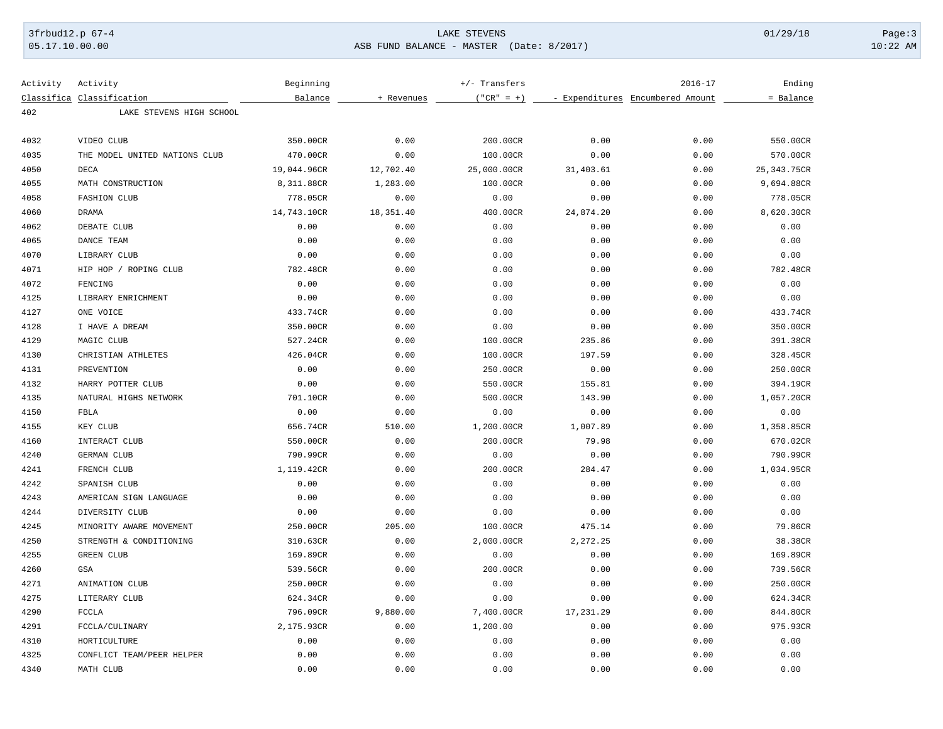## 3frbud12.p 67-4 LAKE STEVENS 01/29/18 Page:3

05.17.10.00.00 ASB FUND BALANCE - MASTER (Date: 8/2017) 10:22 AM

| Activity | Activity                      | Beginning   |            | $+/-$ Transfers |           | $2016 - 17$                      | Ending       |
|----------|-------------------------------|-------------|------------|-----------------|-----------|----------------------------------|--------------|
|          | Classifica Classification     | Balance     | + Revenues | $('"CR" = +)$   |           | - Expenditures Encumbered Amount | = Balance    |
| 402      | LAKE STEVENS HIGH SCHOOL      |             |            |                 |           |                                  |              |
| 4032     | VIDEO CLUB                    | 350.00CR    | 0.00       | 200.00CR        | 0.00      | 0.00                             | 550.00CR     |
| 4035     | THE MODEL UNITED NATIONS CLUB | 470.00CR    | 0.00       | 100.00CR        | 0.00      | 0.00                             | 570.00CR     |
| 4050     | <b>DECA</b>                   | 19,044.96CR | 12,702.40  | 25,000.00CR     | 31,403.61 | 0.00                             | 25, 343.75CR |
| 4055     | MATH CONSTRUCTION             | 8,311.88CR  | 1,283.00   | 100.00CR        | 0.00      | 0.00                             | 9,694.88CR   |
| 4058     | <b>FASHION CLUB</b>           | 778.05CR    | 0.00       | 0.00            | 0.00      | 0.00                             | 778.05CR     |
| 4060     | DRAMA                         | 14,743.10CR | 18,351.40  | 400.00CR        | 24,874.20 | 0.00                             | 8,620.30CR   |
| 4062     | DEBATE CLUB                   | 0.00        | 0.00       | 0.00            | 0.00      | 0.00                             | 0.00         |
| 4065     | DANCE TEAM                    | 0.00        | 0.00       | 0.00            | 0.00      | 0.00                             | 0.00         |
| 4070     | LIBRARY CLUB                  | 0.00        | 0.00       | 0.00            | 0.00      | 0.00                             | 0.00         |
| 4071     | HIP HOP / ROPING CLUB         | 782.48CR    | 0.00       | 0.00            | 0.00      | 0.00                             | 782.48CR     |
| 4072     | FENCING                       | 0.00        | 0.00       | 0.00            | 0.00      | 0.00                             | 0.00         |
| 4125     | LIBRARY ENRICHMENT            | 0.00        | 0.00       | 0.00            | 0.00      | 0.00                             | 0.00         |
| 4127     | ONE VOICE                     | 433.74CR    | 0.00       | 0.00            | 0.00      | 0.00                             | 433.74CR     |
| 4128     | I HAVE A DREAM                | 350.00CR    | 0.00       | 0.00            | 0.00      | 0.00                             | 350.00CR     |
| 4129     | MAGIC CLUB                    | 527.24CR    | 0.00       | 100.00CR        | 235.86    | 0.00                             | 391.38CR     |
| 4130     | CHRISTIAN ATHLETES            | 426.04CR    | 0.00       | 100.00CR        | 197.59    | 0.00                             | 328.45CR     |
| 4131     | PREVENTION                    | 0.00        | 0.00       | 250.00CR        | 0.00      | 0.00                             | 250.00CR     |
| 4132     | HARRY POTTER CLUB             | 0.00        | 0.00       | 550.00CR        | 155.81    | 0.00                             | 394.19CR     |
| 4135     | NATURAL HIGHS NETWORK         | 701.10CR    | 0.00       | 500.00CR        | 143.90    | 0.00                             | 1,057.20CR   |
| 4150     | FBLA                          | 0.00        | 0.00       | 0.00            | 0.00      | 0.00                             | 0.00         |
| 4155     | KEY CLUB                      | 656.74CR    | 510.00     | 1,200.00CR      | 1,007.89  | 0.00                             | 1,358.85CR   |
| 4160     | INTERACT CLUB                 | 550.00CR    | 0.00       | 200.00CR        | 79.98     | 0.00                             | 670.02CR     |
| 4240     | GERMAN CLUB                   | 790.99CR    | 0.00       | 0.00            | 0.00      | 0.00                             | 790.99CR     |
| 4241     | FRENCH CLUB                   | 1,119.42CR  | 0.00       | 200.00CR        | 284.47    | 0.00                             | 1,034.95CR   |
| 4242     | SPANISH CLUB                  | 0.00        | 0.00       | 0.00            | 0.00      | 0.00                             | 0.00         |
| 4243     | AMERICAN SIGN LANGUAGE        | 0.00        | 0.00       | 0.00            | 0.00      | 0.00                             | 0.00         |
| 4244     | DIVERSITY CLUB                | 0.00        | 0.00       | 0.00            | 0.00      | 0.00                             | 0.00         |
| 4245     | MINORITY AWARE MOVEMENT       | 250.00CR    | 205.00     | 100.00CR        | 475.14    | 0.00                             | 79.86CR      |
| 4250     | STRENGTH & CONDITIONING       | 310.63CR    | 0.00       | 2,000.00CR      | 2,272.25  | 0.00                             | 38.38CR      |
| 4255     | <b>GREEN CLUB</b>             | 169.89CR    | 0.00       | 0.00            | 0.00      | 0.00                             | 169.89CR     |
| 4260     | GSA                           | 539.56CR    | 0.00       | 200.00CR        | 0.00      | 0.00                             | 739.56CR     |
| 4271     | ANIMATION CLUB                | 250.00CR    | 0.00       | 0.00            | 0.00      | 0.00                             | 250.00CR     |
| 4275     | LITERARY CLUB                 | 624.34CR    | 0.00       | 0.00            | 0.00      | 0.00                             | 624.34CR     |
| 4290     | FCCLA                         | 796.09CR    | 9,880.00   | 7,400.00CR      | 17,231.29 | 0.00                             | 844.80CR     |
| 4291     | FCCLA/CULINARY                | 2,175.93CR  | 0.00       | 1,200.00        | 0.00      | 0.00                             | 975.93CR     |
| 4310     | HORTICULTURE                  | 0.00        | 0.00       | 0.00            | 0.00      | 0.00                             | 0.00         |
| 4325     | CONFLICT TEAM/PEER HELPER     | 0.00        | 0.00       | 0.00            | 0.00      | 0.00                             | 0.00         |
| 4340     | MATH CLUB                     | 0.00        | 0.00       | 0.00            | 0.00      | 0.00                             | 0.00         |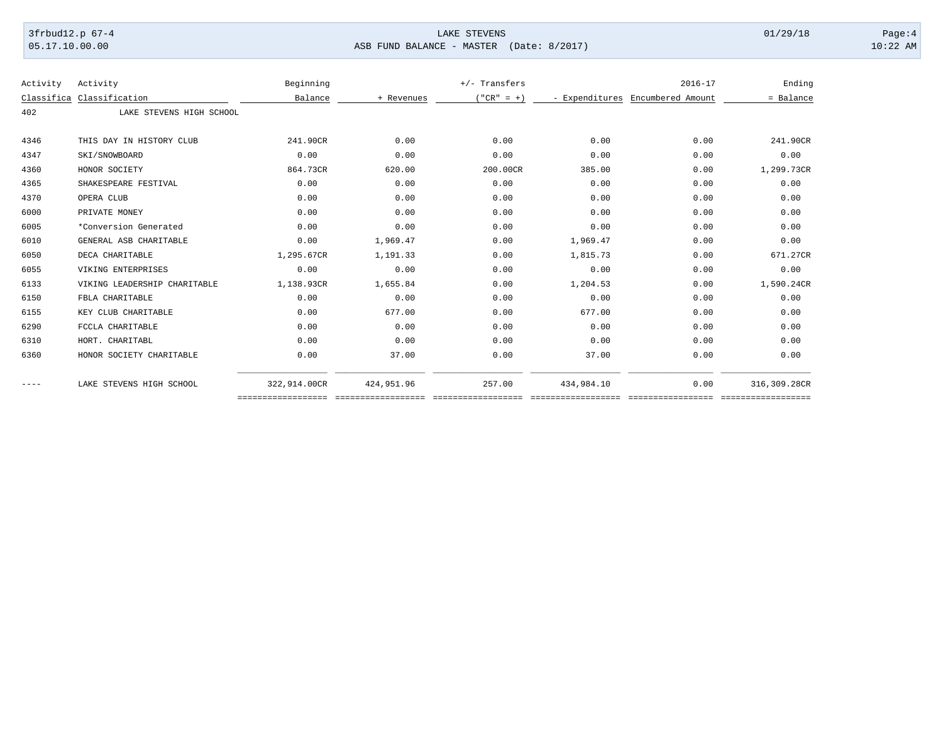## 3frbud12.p 67-4 LAKE STEVENS 01/29/18 Page:4 05.17.10.00.00 ASB FUND BALANCE - MASTER (Date: 8/2017) 10:22 AM

| Activity   | Activity                     | Beginning    |            | $+/-$ Transfers |            | $2016 - 17$                      | Ending       |
|------------|------------------------------|--------------|------------|-----------------|------------|----------------------------------|--------------|
| Classifica | Classification               | Balance      | + Revenues | $' "CR" = +)$   |            | - Expenditures Encumbered Amount | = Balance    |
| 402        | LAKE STEVENS HIGH SCHOOL     |              |            |                 |            |                                  |              |
|            |                              |              |            |                 |            |                                  |              |
| 4346       | THIS DAY IN HISTORY CLUB     | 241.90CR     | 0.00       | 0.00            | 0.00       | 0.00                             | 241.90CR     |
| 4347       | SKI/SNOWBOARD                | 0.00         | 0.00       | 0.00            | 0.00       | 0.00                             | 0.00         |
| 4360       | HONOR SOCIETY                | 864.73CR     | 620.00     | 200.00CR        | 385.00     | 0.00                             | 1,299.73CR   |
| 4365       | SHAKESPEARE FESTIVAL         | 0.00         | 0.00       | 0.00            | 0.00       | 0.00                             | 0.00         |
| 4370       | OPERA CLUB                   | 0.00         | 0.00       | 0.00            | 0.00       | 0.00                             | 0.00         |
| 6000       | PRIVATE MONEY                | 0.00         | 0.00       | 0.00            | 0.00       | 0.00                             | 0.00         |
| 6005       | *Conversion Generated        | 0.00         | 0.00       | 0.00            | 0.00       | 0.00                             | 0.00         |
| 6010       | GENERAL ASB CHARITABLE       | 0.00         | 1,969.47   | 0.00            | 1,969.47   | 0.00                             | 0.00         |
| 6050       | DECA CHARITABLE              | 1,295.67CR   | 1,191.33   | 0.00            | 1,815.73   | 0.00                             | 671.27CR     |
| 6055       | VIKING ENTERPRISES           | 0.00         | 0.00       | 0.00            | 0.00       | 0.00                             | 0.00         |
| 6133       | VIKING LEADERSHIP CHARITABLE | 1,138.93CR   | 1,655.84   | 0.00            | 1,204.53   | 0.00                             | 1,590.24CR   |
| 6150       | FBLA CHARITABLE              | 0.00         | 0.00       | 0.00            | 0.00       | 0.00                             | 0.00         |
| 6155       | KEY CLUB CHARITABLE          | 0.00         | 677.00     | 0.00            | 677.00     | 0.00                             | 0.00         |
| 6290       | FCCLA CHARITABLE             | 0.00         | 0.00       | 0.00            | 0.00       | 0.00                             | 0.00         |
| 6310       | HORT. CHARITABL              | 0.00         | 0.00       | 0.00            | 0.00       | 0.00                             | 0.00         |
| 6360       | HONOR SOCIETY CHARITABLE     | 0.00         | 37.00      | 0.00            | 37.00      | 0.00                             | 0.00         |
| $---$      | LAKE STEVENS HIGH SCHOOL     | 322,914.00CR | 424,951.96 | 257.00          | 434,984.10 | 0.00                             | 316,309.28CR |

================== ================== ================== ================== ================= ==================